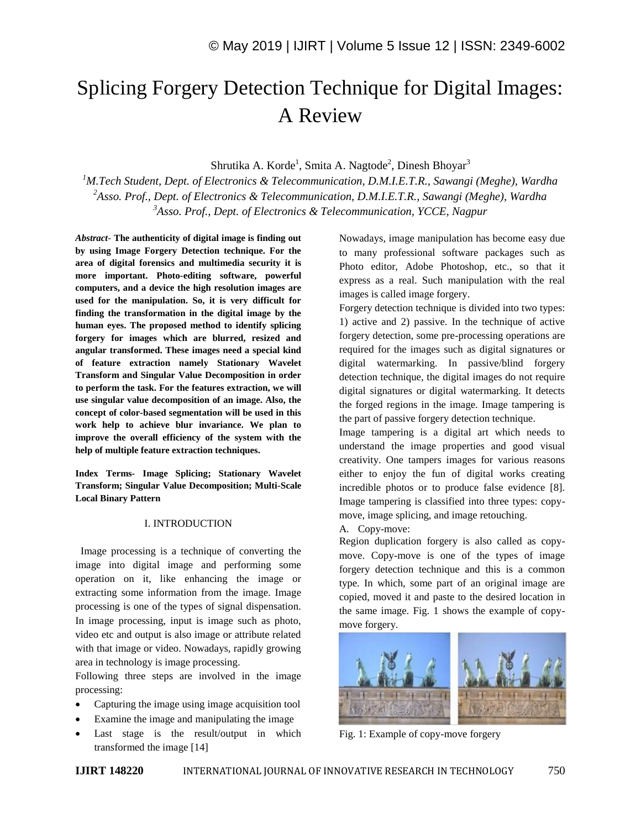# Splicing Forgery Detection Technique for Digital Images: A Review

Shrutika A. Korde<sup>1</sup>, Smita A. Nagtode<sup>2</sup>, Dinesh Bhoyar<sup>3</sup>

*<sup>1</sup>M.Tech Student, Dept. of Electronics & Telecommunication, D.M.I.E.T.R., Sawangi (Meghe), Wardha <sup>2</sup>Asso. Prof., Dept. of Electronics & Telecommunication, D.M.I.E.T.R., Sawangi (Meghe), Wardha <sup>3</sup>Asso. Prof., Dept. of Electronics & Telecommunication, YCCE, Nagpur*

*Abstract*- **The authenticity of digital image is finding out by using Image Forgery Detection technique. For the area of digital forensics and multimedia security it is more important. Photo-editing software, powerful computers, and a device the high resolution images are used for the manipulation. So, it is very difficult for finding the transformation in the digital image by the human eyes. The proposed method to identify splicing forgery for images which are blurred, resized and angular transformed. These images need a special kind of feature extraction namely Stationary Wavelet Transform and Singular Value Decomposition in order to perform the task. For the features extraction, we will use singular value decomposition of an image. Also, the concept of color-based segmentation will be used in this work help to achieve blur invariance. We plan to improve the overall efficiency of the system with the help of multiple feature extraction techniques.**

**Index Terms- Image Splicing; Stationary Wavelet Transform; Singular Value Decomposition; Multi-Scale Local Binary Pattern**

#### I. INTRODUCTION

 Image processing is a technique of converting the image into digital image and performing some operation on it, like enhancing the image or extracting some information from the image. Image processing is one of the types of signal dispensation. In image processing, input is image such as photo, video etc and output is also image or attribute related with that image or video. Nowadays, rapidly growing area in technology is image processing.

Following three steps are involved in the image processing:

- Capturing the image using image acquisition tool
- Examine the image and manipulating the image
- Last stage is the result/output in which transformed the image [14]

Nowadays, image manipulation has become easy due to many professional software packages such as Photo editor, Adobe Photoshop, etc., so that it express as a real. Such manipulation with the real images is called image forgery.

Forgery detection technique is divided into two types: 1) active and 2) passive. In the technique of active forgery detection, some pre-processing operations are required for the images such as digital signatures or digital watermarking. In passive/blind forgery detection technique, the digital images do not require digital signatures or digital watermarking. It detects the forged regions in the image. Image tampering is the part of passive forgery detection technique.

Image tampering is a digital art which needs to understand the image properties and good visual creativity. One tampers images for various reasons either to enjoy the fun of digital works creating incredible photos or to produce false evidence [8]. Image tampering is classified into three types: copymove, image splicing, and image retouching.

A. Copy-move:

Region duplication forgery is also called as copymove. Copy-move is one of the types of image forgery detection technique and this is a common type. In which, some part of an original image are copied, moved it and paste to the desired location in the same image. Fig. 1 shows the example of copymove forgery.



Fig. 1: Example of copy-move forgery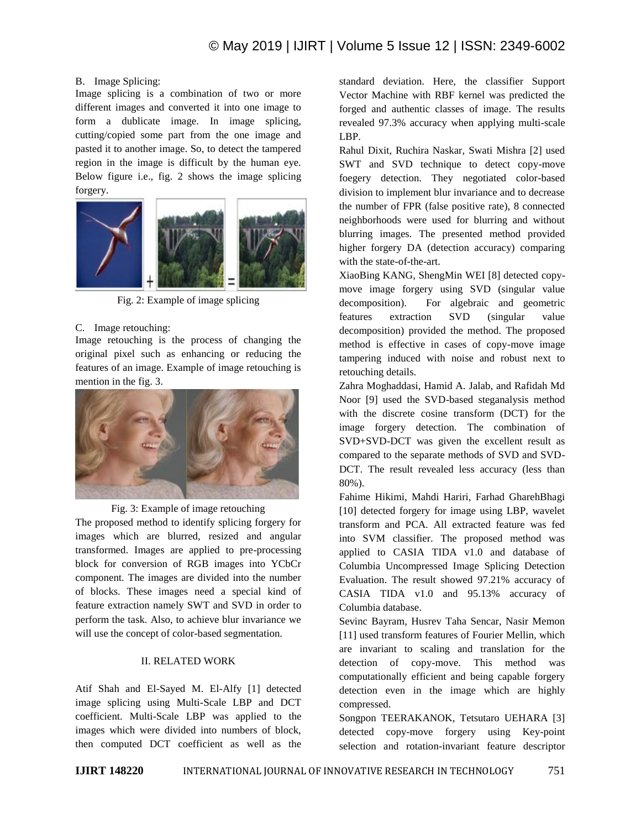### B. Image Splicing:

Image splicing is a combination of two or more different images and converted it into one image to form a dublicate image. In image splicing, cutting/copied some part from the one image and pasted it to another image. So, to detect the tampered region in the image is difficult by the human eye. Below figure i.e., fig. 2 shows the image splicing forgery.



Fig. 2: Example of image splicing

# C. Image retouching:

Image retouching is the process of changing the original pixel such as enhancing or reducing the features of an image. Example of image retouching is mention in the fig. 3.



Fig. 3: Example of image retouching

The proposed method to identify splicing forgery for images which are blurred, resized and angular transformed. Images are applied to pre-processing block for conversion of RGB images into YCbCr component. The images are divided into the number of blocks. These images need a special kind of feature extraction namely SWT and SVD in order to perform the task. Also, to achieve blur invariance we will use the concept of color-based segmentation.

### II. RELATED WORK

Atif Shah and El-Sayed M. El-Alfy [1] detected image splicing using Multi-Scale LBP and DCT coefficient. Multi-Scale LBP was applied to the images which were divided into numbers of block, then computed DCT coefficient as well as the

standard deviation. Here, the classifier Support Vector Machine with RBF kernel was predicted the forged and authentic classes of image. The results revealed 97.3% accuracy when applying multi-scale LBP.

Rahul Dixit, Ruchira Naskar, Swati Mishra [2] used SWT and SVD technique to detect copy-move foegery detection. They negotiated color-based division to implement blur invariance and to decrease the number of FPR (false positive rate), 8 connected neighborhoods were used for blurring and without blurring images. The presented method provided higher forgery DA (detection accuracy) comparing with the state-of-the-art.

XiaoBing KANG, ShengMin WEI [8] detected copymove image forgery using SVD (singular value decomposition). For algebraic and geometric features extraction SVD (singular value decomposition) provided the method. The proposed method is effective in cases of copy-move image tampering induced with noise and robust next to retouching details.

Zahra Moghaddasi, Hamid A. Jalab, and Rafidah Md Noor [9] used the SVD-based steganalysis method with the discrete cosine transform (DCT) for the image forgery detection. The combination of SVD+SVD-DCT was given the excellent result as compared to the separate methods of SVD and SVD-DCT. The result revealed less accuracy (less than 80%).

Fahime Hikimi, Mahdi Hariri, Farhad GharehBhagi [10] detected forgery for image using LBP, wavelet transform and PCA. All extracted feature was fed into SVM classifier. The proposed method was applied to CASIA TIDA v1.0 and database of Columbia Uncompressed Image Splicing Detection Evaluation. The result showed 97.21% accuracy of CASIA TIDA v1.0 and 95.13% accuracy of Columbia database.

Sevinc Bayram, Husrev Taha Sencar, Nasir Memon [11] used transform features of Fourier Mellin, which are invariant to scaling and translation for the detection of copy-move. This method was computationally efficient and being capable forgery detection even in the image which are highly compressed.

Songpon TEERAKANOK, Tetsutaro UEHARA [3] detected copy-move forgery using Key-point selection and rotation-invariant feature descriptor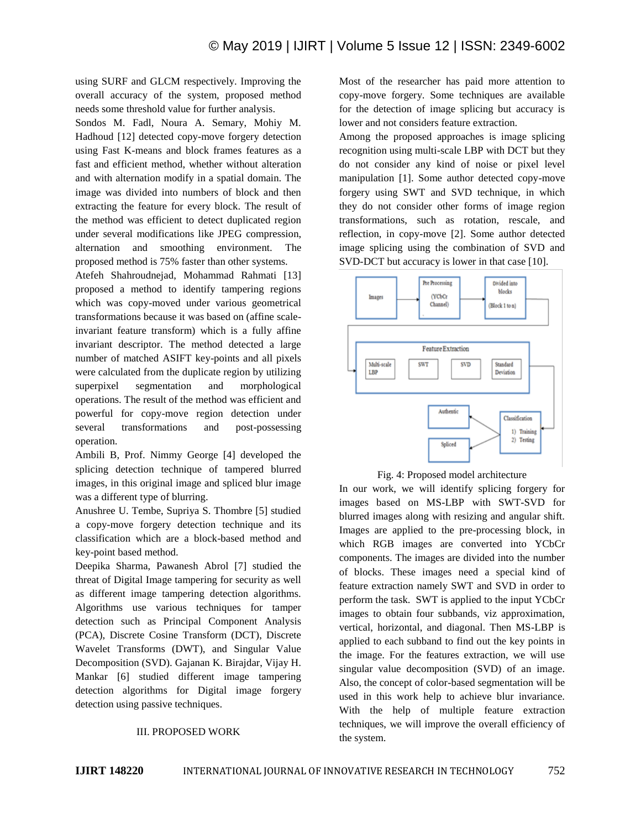using SURF and GLCM respectively. Improving the overall accuracy of the system, proposed method needs some threshold value for further analysis.

Sondos M. Fadl, Noura A. Semary, Mohiy M. Hadhoud [12] detected copy-move forgery detection using Fast K-means and block frames features as a fast and efficient method, whether without alteration and with alternation modify in a spatial domain. The image was divided into numbers of block and then extracting the feature for every block. The result of the method was efficient to detect duplicated region under several modifications like JPEG compression, alternation and smoothing environment. The proposed method is 75% faster than other systems.

Atefeh Shahroudnejad, Mohammad Rahmati [13] proposed a method to identify tampering regions which was copy-moved under various geometrical transformations because it was based on (affine scaleinvariant feature transform) which is a fully affine invariant descriptor. The method detected a large number of matched ASIFT key-points and all pixels were calculated from the duplicate region by utilizing superpixel segmentation and morphological operations. The result of the method was efficient and powerful for copy-move region detection under several transformations and post-possessing operation.

Ambili B, Prof. Nimmy George [4] developed the splicing detection technique of tampered blurred images, in this original image and spliced blur image was a different type of blurring.

Anushree U. Tembe, Supriya S. Thombre [5] studied a copy-move forgery detection technique and its classification which are a block-based method and key-point based method.

Deepika Sharma, Pawanesh Abrol [7] studied the threat of Digital Image tampering for security as well as different image tampering detection algorithms. Algorithms use various techniques for tamper detection such as Principal Component Analysis (PCA), Discrete Cosine Transform (DCT), Discrete Wavelet Transforms (DWT), and Singular Value Decomposition (SVD). Gajanan K. Birajdar, Vijay H. Mankar [6] studied different image tampering detection algorithms for Digital image forgery detection using passive techniques.

#### III. PROPOSED WORK

Most of the researcher has paid more attention to copy-move forgery. Some techniques are available for the detection of image splicing but accuracy is lower and not considers feature extraction.

Among the proposed approaches is image splicing recognition using multi-scale LBP with DCT but they do not consider any kind of noise or pixel level manipulation [1]. Some author detected copy-move forgery using SWT and SVD technique, in which they do not consider other forms of image region transformations, such as rotation, rescale, and reflection, in copy-move [2]. Some author detected image splicing using the combination of SVD and SVD-DCT but accuracy is lower in that case [10].



Fig. 4: Proposed model architecture

In our work, we will identify splicing forgery for images based on MS-LBP with SWT-SVD for blurred images along with resizing and angular shift. Images are applied to the pre-processing block, in which RGB images are converted into YCbCr components. The images are divided into the number of blocks. These images need a special kind of feature extraction namely SWT and SVD in order to perform the task. SWT is applied to the input YCbCr images to obtain four subbands, viz approximation, vertical, horizontal, and diagonal. Then MS-LBP is applied to each subband to find out the key points in the image. For the features extraction, we will use singular value decomposition (SVD) of an image. Also, the concept of color-based segmentation will be used in this work help to achieve blur invariance. With the help of multiple feature extraction techniques, we will improve the overall efficiency of the system.